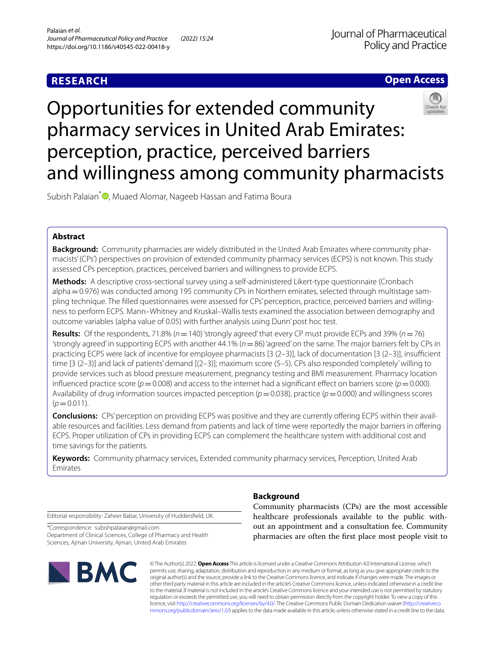# **RESEARCH**



# Opportunities for extended community pharmacy services in United Arab Emirates: perception, practice, perceived barriers and willingness among community pharmacists

Subish Palaian<sup>\*</sup><sup>1</sup>[,](http://orcid.org/0000-0002-9323-3940) Muaed Alomar, Nageeb Hassan and Fatima Boura

# **Abstract**

**Background:** Community pharmacies are widely distributed in the United Arab Emirates where community pharmacists' (CPs') perspectives on provision of extended community pharmacy services (ECPS) is not known. This study assessed CPs perception, practices, perceived barriers and willingness to provide ECPS.

**Methods:** A descriptive cross-sectional survey using a self-administered Likert-type questionnaire (Cronbach alpha = 0.976) was conducted among 195 community CPs in Northern emirates, selected through multistage sampling technique. The flled questionnaires were assessed for CPs' perception, practice, perceived barriers and willingness to perform ECPS. Mann–Whitney and Kruskal–Wallis tests examined the association between demography and outcome variables (alpha value of 0.05) with further analysis using Dunn' post hoc test.

**Results:** Of the respondents, 71.8% (*n*=140) 'strongly agreed' that every CP must provide ECPs and 39% (*n*=76) 'strongly agreed' in supporting ECPS with another 44.1% (*n*=86) 'agreed' on the same. The major barriers felt by CPs in practicing ECPS were lack of incentive for employee pharmacists  $[3 (2-3)]$ , lack of documentation  $[3 (2-3)]$ , insufficient time [3 (2–3)] and lack of patients' demand [(2–3)]; maximum score (5–5). CPs also responded 'completely' willing to provide services such as blood pressure measurement, pregnancy testing and BMI measurement. Pharmacy location influenced practice score ( $p=0.008$ ) and access to the internet had a significant effect on barriers score ( $p=0.000$ ). Availability of drug information sources impacted perception ( $p=0.038$ ), practice ( $p=0.000$ ) and willingness scores  $(p=0.011)$ .

**Conclusions:** CPs' perception on providing ECPS was positive and they are currently ofering ECPS within their available resources and facilities. Less demand from patients and lack of time were reportedly the major barriers in ofering ECPS. Proper utilization of CPs in providing ECPS can complement the healthcare system with additional cost and time savings for the patients.

**Keywords:** Community pharmacy services, Extended community pharmacy services, Perception, United Arab Emirates

Editorial responsibility: Zaheer Babar, University of Huddersfeld, UK.

\*Correspondence: subishpalaian@gmail.com Department of Clinical Sciences, College of Pharmacy and Health Sciences, Ajman University, Ajman, United Arab Emirates



# **Background**

Community pharmacists (CPs) are the most accessible healthcare professionals available to the public without an appointment and a consultation fee. Community pharmacies are often the frst place most people visit to

© The Author(s) 2022. **Open Access** This article is licensed under a Creative Commons Attribution 4.0 International License, which permits use, sharing, adaptation, distribution and reproduction in any medium or format, as long as you give appropriate credit to the original author(s) and the source, provide a link to the Creative Commons licence, and indicate if changes were made. The images or other third party material in this article are included in the article's Creative Commons licence, unless indicated otherwise in a credit line to the material. If material is not included in the article's Creative Commons licence and your intended use is not permitted by statutory regulation or exceeds the permitted use, you will need to obtain permission directly from the copyright holder. To view a copy of this licence, visit [http://creativecommons.org/licenses/by/4.0/.](http://creativecommons.org/licenses/by/4.0/) The Creative Commons Public Domain Dedication waiver ([http://creativeco](http://creativecommons.org/publicdomain/zero/1.0/) [mmons.org/publicdomain/zero/1.0/](http://creativecommons.org/publicdomain/zero/1.0/)) applies to the data made available in this article, unless otherwise stated in a credit line to the data.

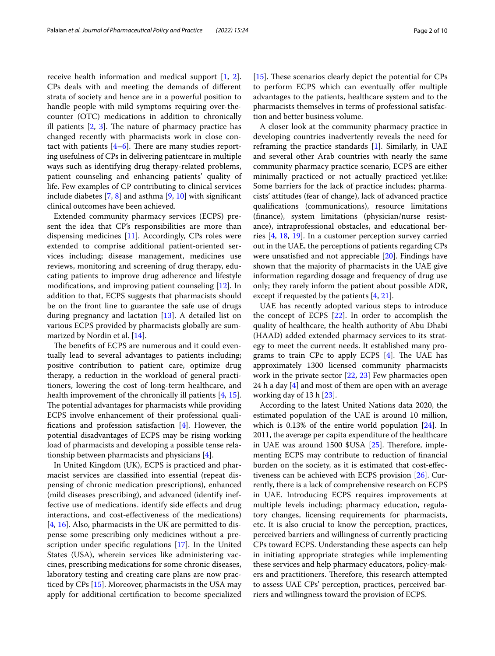receive health information and medical support [[1,](#page-8-0) [2](#page-8-1)]. CPs deals with and meeting the demands of diferent strata of society and hence are in a powerful position to handle people with mild symptoms requiring over-thecounter (OTC) medications in addition to chronically ill patients  $[2, 3]$  $[2, 3]$  $[2, 3]$  $[2, 3]$ . The nature of pharmacy practice has changed recently with pharmacists work in close contact with patients  $[4-6]$  $[4-6]$ . There are many studies reporting usefulness of CPs in delivering patientcare in multiple ways such as identifying drug therapy-related problems, patient counseling and enhancing patients' quality of life. Few examples of CP contributing to clinical services include diabetes  $[7, 8]$  $[7, 8]$  $[7, 8]$  $[7, 8]$  and asthma  $[9, 10]$  $[9, 10]$  $[9, 10]$  with significant clinical outcomes have been achieved.

Extended community pharmacy services (ECPS) present the idea that CP's responsibilities are more than dispensing medicines [[11\]](#page-8-9). Accordingly, CPs roles were extended to comprise additional patient-oriented services including; disease management, medicines use reviews, monitoring and screening of drug therapy, educating patients to improve drug adherence and lifestyle modifcations, and improving patient counseling [[12](#page-8-10)]. In addition to that, ECPS suggests that pharmacists should be on the front line to guarantee the safe use of drugs during pregnancy and lactation [[13\]](#page-8-11). A detailed list on various ECPS provided by pharmacists globally are summarized by Nordin et al. [\[14](#page-8-12)].

The benefits of ECPS are numerous and it could eventually lead to several advantages to patients including; positive contribution to patient care, optimize drug therapy, a reduction in the workload of general practitioners, lowering the cost of long-term healthcare, and health improvement of the chronically ill patients [[4](#page-8-3), [15](#page-8-13)]. The potential advantages for pharmacists while providing ECPS involve enhancement of their professional qualifications and profession satisfaction  $[4]$  $[4]$  $[4]$ . However, the potential disadvantages of ECPS may be rising working load of pharmacists and developing a possible tense relationship between pharmacists and physicians [[4\]](#page-8-3).

In United Kingdom (UK), ECPS is practiced and pharmacist services are classifed into essential (repeat dispensing of chronic medication prescriptions), enhanced (mild diseases prescribing), and advanced (identify ineffective use of medications. identify side efects and drug interactions, and cost-efectiveness of the medications) [[4,](#page-8-3) [16](#page-9-0)]. Also, pharmacists in the UK are permitted to dispense some prescribing only medicines without a prescription under specifc regulations [\[17](#page-9-1)]. In the United States (USA), wherein services like administering vaccines, prescribing medications for some chronic diseases, laboratory testing and creating care plans are now practiced by CPs [[15](#page-8-13)]. Moreover, pharmacists in the USA may apply for additional certifcation to become specialized [[15\]](#page-8-13). These scenarios clearly depict the potential for  $CPs$ to perform ECPS which can eventually offer multiple advantages to the patients, healthcare system and to the pharmacists themselves in terms of professional satisfaction and better business volume.

A closer look at the community pharmacy practice in developing countries inadvertently reveals the need for reframing the practice standards [\[1](#page-8-0)]. Similarly, in UAE and several other Arab countries with nearly the same community pharmacy practice scenario, ECPS are either minimally practiced or not actually practiced yet.like: Some barriers for the lack of practice includes; pharmacists' attitudes (fear of change), lack of advanced practice qualifcations (communications), resource limitations (fnance), system limitations (physician/nurse resistance), intraprofessional obstacles, and educational berries [[4,](#page-8-3) [18](#page-9-2), [19\]](#page-9-3). In a customer perception survey carried out in the UAE, the perceptions of patients regarding CPs were unsatisfed and not appreciable [\[20](#page-9-4)]. Findings have shown that the majority of pharmacists in the UAE give information regarding dosage and frequency of drug use only; they rarely inform the patient about possible ADR, except if requested by the patients [\[4](#page-8-3), [21](#page-9-5)].

UAE has recently adopted various steps to introduce the concept of ECPS [\[22](#page-9-6)]. In order to accomplish the quality of healthcare, the health authority of Abu Dhabi (HAAD) added extended pharmacy services to its strategy to meet the current needs. It established many programs to train CPc to apply ECPS  $[4]$ . The UAE has approximately 1300 licensed community pharmacists work in the private sector [[22,](#page-9-6) [23\]](#page-9-7) Few pharmacies open 2[4](#page-8-3) h a day  $[4]$  and most of them are open with an average working day of 13 h [\[23](#page-9-7)].

According to the latest United Nations data 2020, the estimated population of the UAE is around 10 million, which is 0.13% of the entire world population [\[24](#page-9-8)]. In 2011, the average per capita expenditure of the healthcare in UAE was around  $1500$  \$USA [ $25$ ]. Therefore, implementing ECPS may contribute to reduction of fnancial burden on the society, as it is estimated that cost-efectiveness can be achieved with ECPS provision [\[26](#page-9-10)]. Currently, there is a lack of comprehensive research on ECPS in UAE. Introducing ECPS requires improvements at multiple levels including; pharmacy education, regulatory changes, licensing requirements for pharmacists, etc. It is also crucial to know the perception, practices, perceived barriers and willingness of currently practicing CPs toward ECPS. Understanding these aspects can help in initiating appropriate strategies while implementing these services and help pharmacy educators, policy-makers and practitioners. Therefore, this research attempted to assess UAE CPs' perception, practices, perceived barriers and willingness toward the provision of ECPS.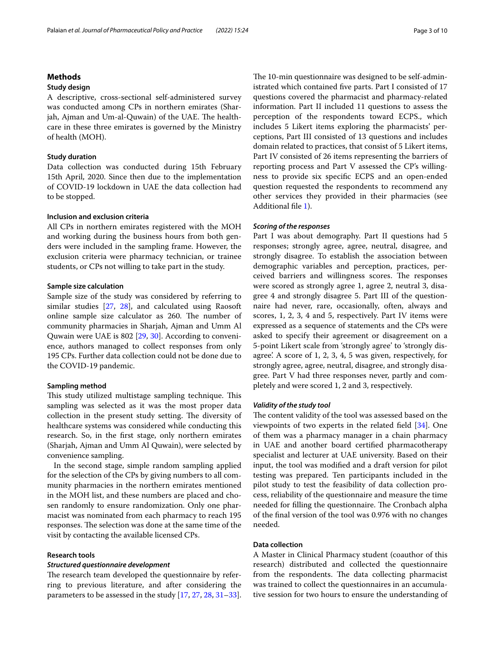# **Methods**

# **Study design**

A descriptive, cross-sectional self-administered survey was conducted among CPs in northern emirates (Sharjah, Ajman and Um-al-Quwain) of the UAE. The healthcare in these three emirates is governed by the Ministry of health (MOH).

# **Study duration**

Data collection was conducted during 15th February 15th April, 2020. Since then due to the implementation of COVID-19 lockdown in UAE the data collection had to be stopped.

## **Inclusion and exclusion criteria**

All CPs in northern emirates registered with the MOH and working during the business hours from both genders were included in the sampling frame. However, the exclusion criteria were pharmacy technician, or trainee students, or CPs not willing to take part in the study.

## **Sample size calculation**

Sample size of the study was considered by referring to similar studies [\[27,](#page-9-11) [28](#page-9-12)], and calculated using Raosoft online sample size calculator as 260. The number of community pharmacies in Sharjah, Ajman and Umm Al Quwain were UAE is 802 [\[29,](#page-9-13) [30\]](#page-9-14). According to convenience, authors managed to collect responses from only 195 CPs. Further data collection could not be done due to the COVID-19 pandemic.

#### **Sampling method**

This study utilized multistage sampling technique. This sampling was selected as it was the most proper data collection in the present study setting. The diversity of healthcare systems was considered while conducting this research. So, in the frst stage, only northern emirates (Sharjah, Ajman and Umm Al Quwain), were selected by convenience sampling.

In the second stage, simple random sampling applied for the selection of the CPs by giving numbers to all community pharmacies in the northern emirates mentioned in the MOH list, and these numbers are placed and chosen randomly to ensure randomization. Only one pharmacist was nominated from each pharmacy to reach 195 responses. The selection was done at the same time of the visit by contacting the available licensed CPs.

# **Research tools**

## *Structured questionnaire development*

The research team developed the questionnaire by referring to previous literature, and after considering the parameters to be assessed in the study [[17,](#page-9-1) [27,](#page-9-11) [28](#page-9-12), [31](#page-9-15)[–33](#page-9-16)]. The 10-min questionnaire was designed to be self-administrated which contained fve parts. Part I consisted of 17 questions covered the pharmacist and pharmacy-related information. Part II included 11 questions to assess the perception of the respondents toward ECPS., which includes 5 Likert items exploring the pharmacists' perceptions, Part III consisted of 13 questions and includes domain related to practices, that consist of 5 Likert items, Part IV consisted of 26 items representing the barriers of reporting process and Part V assessed the CP's willingness to provide six specifc ECPS and an open-ended question requested the respondents to recommend any other services they provided in their pharmacies (see Additional fle [1](#page-8-14)).

## *Scoring of the responses*

Part I was about demography. Part II questions had 5 responses; strongly agree, agree, neutral, disagree, and strongly disagree. To establish the association between demographic variables and perception, practices, perceived barriers and willingness scores. The responses were scored as strongly agree 1, agree 2, neutral 3, disagree 4 and strongly disagree 5. Part III of the questionnaire had never, rare, occasionally, often, always and scores, 1, 2, 3, 4 and 5, respectively. Part IV items were expressed as a sequence of statements and the CPs were asked to specify their agreement or disagreement on a 5-point Likert scale from 'strongly agree' to 'strongly disagree'. A score of 1, 2, 3, 4, 5 was given, respectively, for strongly agree, agree, neutral, disagree, and strongly disagree. Part V had three responses never, partly and completely and were scored 1, 2 and 3, respectively.

## *Validity of the study tool*

The content validity of the tool was assessed based on the viewpoints of two experts in the related feld [\[34\]](#page-9-17). One of them was a pharmacy manager in a chain pharmacy in UAE and another board certifed pharmacotherapy specialist and lecturer at UAE university. Based on their input, the tool was modifed and a draft version for pilot testing was prepared. Ten participants included in the pilot study to test the feasibility of data collection process, reliability of the questionnaire and measure the time needed for filling the questionnaire. The Cronbach alpha of the fnal version of the tool was 0.976 with no changes needed.

# **Data collection**

A Master in Clinical Pharmacy student (coauthor of this research) distributed and collected the questionnaire from the respondents. The data collecting pharmacist was trained to collect the questionnaires in an accumulative session for two hours to ensure the understanding of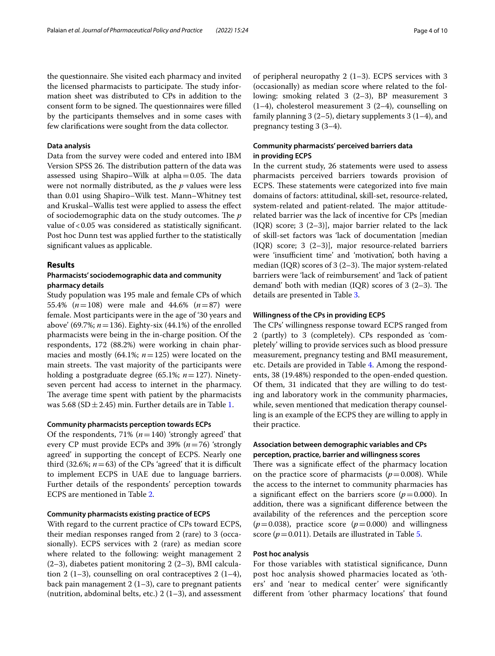the questionnaire. She visited each pharmacy and invited the licensed pharmacists to participate. The study information sheet was distributed to CPs in addition to the consent form to be signed. The questionnaires were filled by the participants themselves and in some cases with few clarifcations were sought from the data collector.

## **Data analysis**

Data from the survey were coded and entered into IBM Version SPSS 26. The distribution pattern of the data was assessed using Shapiro–Wilk at alpha $=0.05$ . The data were not normally distributed, as the *p* values were less than 0.01 using Shapiro–Wilk test. Mann–Whitney test and Kruskal–Wallis test were applied to assess the efect of sociodemographic data on the study outcomes. The *p* value of <0.05 was considered as statistically significant. Post hoc Dunn test was applied further to the statistically signifcant values as applicable.

## **Results**

# **Pharmacists' sociodemographic data and community pharmacy details**

Study population was 195 male and female CPs of which 55.4% (*n*=108) were male and 44.6% (*n*=87) were female. Most participants were in the age of '30 years and above' (69.7%; *n*=136). Eighty-six (44.1%) of the enrolled pharmacists were being in the in-charge position. Of the respondents, 172 (88.2%) were working in chain pharmacies and mostly (64.1%; *n*=125) were located on the main streets. The vast majority of the participants were holding a postgraduate degree (65.1%; *n*=127). Ninetyseven percent had access to internet in the pharmacy. The average time spent with patient by the pharmacists was 5.68 (SD $\pm$ 2.45) min. Further details are in Table [1](#page-4-0).

# **Community pharmacists perception towards ECPs**

Of the respondents, 71%  $(n=140)$  'strongly agreed' that every CP must provide ECPs and 39% (*n*=76) 'strongly agreed' in supporting the concept of ECPS. Nearly one third (32.6%;  $n=63$ ) of the CPs 'agreed' that it is difficult to implement ECPS in UAE due to language barriers. Further details of the respondents' perception towards ECPS are mentioned in Table [2.](#page-5-0)

## **Community pharmacists existing practice of ECPS**

With regard to the current practice of CPs toward ECPS, their median responses ranged from 2 (rare) to 3 (occasionally). ECPS services with 2 (rare) as median score where related to the following: weight management 2  $(2-3)$ , diabetes patient monitoring 2  $(2-3)$ , BMI calculation 2 (1–3), counselling on oral contraceptives 2 (1–4), back pain management  $2(1-3)$ , care to pregnant patients (nutrition, abdominal belts, etc.)  $2(1-3)$ , and assessment of peripheral neuropathy 2 (1–3). ECPS services with 3 (occasionally) as median score where related to the following: smoking related 3 (2–3), BP measurement 3  $(1-4)$ , cholesterol measurement 3  $(2-4)$ , counselling on family planning 3 (2–5), dietary supplements 3 (1–4), and pregnancy testing 3 (3–4).

# **Community pharmacists' perceived barriers data in providing ECPS**

In the current study, 26 statements were used to assess pharmacists perceived barriers towards provision of ECPS. These statements were categorized into five main domains of factors: attitudinal, skill-set, resource-related, system-related and patient-related. The major attituderelated barrier was the lack of incentive for CPs [median (IQR) score; 3 (2–3)], major barrier related to the lack of skill-set factors was 'lack of documentation [median (IQR) score; 3 (2–3)], major resource-related barriers were 'insufficient time' and 'motivation', both having a median (IQR) scores of  $3(2-3)$ . The major system-related barriers were 'lack of reimbursement' and 'lack of patient demand' both with median  $(IQR)$  scores of 3 (2–3). The details are presented in Table [3.](#page-5-1)

## **Willingness of the CPs in providing ECPS**

The CPs' willingness response toward ECPS ranged from 2 (partly) to 3 (completely). CPs responded as 'completely' willing to provide services such as blood pressure measurement, pregnancy testing and BMI measurement, etc. Details are provided in Table [4](#page-6-0). Among the respondents, 38 (19.48%) responded to the open-ended question. Of them, 31 indicated that they are willing to do testing and laboratory work in the community pharmacies, while, seven mentioned that medication therapy counselling is an example of the ECPS they are willing to apply in their practice.

# **Association between demographic variables and CPs perception, practice, barrier and willingness scores**

There was a significate effect of the pharmacy location on the practice score of pharmacists  $(p=0.008)$ . While the access to the internet to community pharmacies has a significant effect on the barriers score  $(p=0.000)$ . In addition, there was a signifcant diference between the availability of the references and the perception score  $(p=0.038)$ , practice score  $(p=0.000)$  and willingness score ( $p = 0.011$ ). Details are illustrated in Table [5.](#page-6-1)

## **Post hoc analysis**

For those variables with statistical signifcance, Dunn post hoc analysis showed pharmacies located as 'others' and 'near to medical center' were signifcantly diferent from 'other pharmacy locations' that found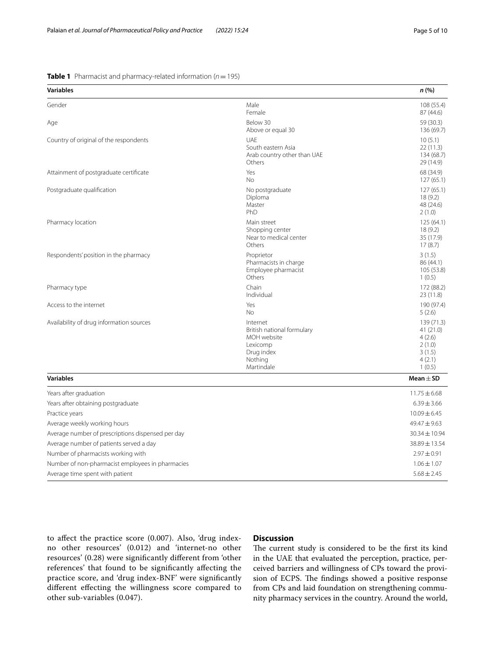<span id="page-4-0"></span>**Table 1** Pharmacist and pharmacy-related information (*n*=195)

| <b>Variables</b>                                                               |                                                                                                          | n (%)                                                                     |
|--------------------------------------------------------------------------------|----------------------------------------------------------------------------------------------------------|---------------------------------------------------------------------------|
| Gender                                                                         | Male<br>Female                                                                                           | 108 (55.4)<br>87 (44.6)                                                   |
| Age                                                                            | Below 30<br>Above or equal 30                                                                            | 59 (30.3)<br>136 (69.7)                                                   |
| Country of original of the respondents                                         | UAE<br>South eastern Asia<br>Arab country other than UAE<br>Others                                       | 10(5.1)<br>22(11.3)<br>134 (68.7)<br>29 (14.9)                            |
| Attainment of postgraduate certificate                                         | Yes<br>No                                                                                                | 68 (34.9)<br>127(65.1)                                                    |
| Postgraduate qualification                                                     | No postgraduate<br>Diploma<br>Master<br>PhD                                                              | 127(65.1)<br>18(9.2)<br>48 (24.6)<br>2(1.0)                               |
| Pharmacy location                                                              | Main street<br>Shopping center<br>Near to medical center<br>Others                                       | 125(64.1)<br>18(9.2)<br>35 (17.9)<br>17(8.7)                              |
| Respondents' position in the pharmacy                                          | Proprietor<br>Pharmacists in charge<br>Employee pharmacist<br>Others                                     | 3(1.5)<br>86 (44.1)<br>105 (53.8)<br>1(0.5)                               |
| Pharmacy type                                                                  | Chain<br>Individual                                                                                      | 172 (88.2)<br>23(11.8)                                                    |
| Access to the internet                                                         | Yes<br><b>No</b>                                                                                         | 190 (97.4)<br>5(2.6)                                                      |
| Availability of drug information sources                                       | Internet<br>British national formulary<br>MOH website<br>Lexicomp<br>Drug index<br>Nothing<br>Martindale | 139 (71.3)<br>41 (21.0)<br>4(2.6)<br>2(1.0)<br>3(1.5)<br>4(2.1)<br>1(0.5) |
| <b>Variables</b>                                                               |                                                                                                          | Mean $\pm$ SD                                                             |
| Years after graduation<br>Years after obtaining postgraduate<br>Practice years |                                                                                                          | $11.75 \pm 6.68$<br>$6.39 \pm 3.66$<br>$10.09 \pm 6.45$                   |
| Average weekly working hours                                                   |                                                                                                          | $49.47 \pm 9.63$                                                          |
| Average number of prescriptions dispensed per day                              |                                                                                                          | 30.34 ± 10.94                                                             |
| Average number of patients served a day                                        |                                                                                                          | 38.89±13.54                                                               |
| Number of pharmacists working with                                             |                                                                                                          | $2.97 \pm 0.91$                                                           |
| Number of non-pharmacist employees in pharmacies                               |                                                                                                          | $1.06 \pm 1.07$                                                           |
| Average time spent with patient                                                |                                                                                                          | $5.68 \pm 2.45$                                                           |

to afect the practice score (0.007). Also, 'drug indexno other resources' (0.012) and 'internet-no other resources' (0.28) were signifcantly diferent from 'other references' that found to be signifcantly afecting the practice score, and 'drug index-BNF' were signifcantly diferent efecting the willingness score compared to other sub-variables (0.047).

# **Discussion**

The current study is considered to be the first its kind in the UAE that evaluated the perception, practice, perceived barriers and willingness of CPs toward the provision of ECPS. The findings showed a positive response from CPs and laid foundation on strengthening community pharmacy services in the country. Around the world,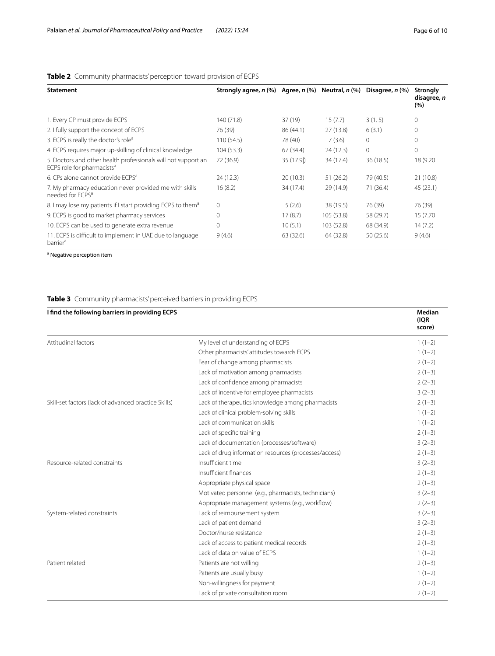| <b>Statement</b>                                                                                        | Strongly agree, $n$ (%) Agree, $n$ (%) Neutral, $n$ (%) Disagree, $n$ (%) |           |            |           | Strongly<br>disagree, n<br>(%) |
|---------------------------------------------------------------------------------------------------------|---------------------------------------------------------------------------|-----------|------------|-----------|--------------------------------|
| 1. Every CP must provide ECPS                                                                           | 140 (71.8)                                                                | 37 (19)   | 15(7.7)    | 3(1.5)    |                                |
| 2. I fully support the concept of ECPS                                                                  | 76 (39)                                                                   | 86 (44.1) | 27(13.8)   | 6(3.1)    | 0                              |
| 3. ECPS is really the doctor's role <sup>a</sup>                                                        | 110(54.5)                                                                 | 78 (40)   | 7(3.6)     | $\Omega$  |                                |
| 4. ECPS requires major up-skilling of clinical knowledge                                                | 104(53.3)                                                                 | 67(34.4)  | 24(12.3)   | $\Omega$  |                                |
| 5. Doctors and other health professionals will not support an<br>ECPS role for pharmacists <sup>a</sup> | 72 (36.9)                                                                 | 35 (17.9) | 34 (17.4)  | 36(18.5)  | 18 (9.20                       |
| 6. CPs alone cannot provide ECPS <sup>a</sup>                                                           | 24 (12.3)                                                                 | 20(10.3)  | 51(26.2)   | 79 (40.5) | 21 (10.8)                      |
| 7. My pharmacy education never provided me with skills<br>needed for ECPS <sup>a</sup>                  | 16(8.2)                                                                   | 34 (17.4) | 29 (14.9)  | 71 (36.4) | 45 (23.1)                      |
| 8. I may lose my patients if I start providing ECPS to them <sup>a</sup>                                | 0                                                                         | 5(2.6)    | 38 (19.5)  | 76 (39)   | 76 (39)                        |
| 9. ECPS is good to market pharmacy services                                                             | 0                                                                         | 17(8.7)   | 105(53.8)  | 58 (29.7) | 15 (7.70)                      |
| 10. ECPS can be used to generate extra revenue                                                          | 0                                                                         | 10(5.1)   | 103 (52.8) | 68 (34.9) | 14(7.2)                        |
| 11. ECPS is difficult to implement in UAE due to language<br>barrier <sup>a</sup>                       | 9(4.6)                                                                    | 63 (32.6) | 64 (32.8)  | 50(25.6)  | 9(4.6)                         |

# <span id="page-5-0"></span>**Table 2** Community pharmacists' perception toward provision of ECPS

<sup>a</sup> Negative perception item

# <span id="page-5-1"></span>**Table 3** Community pharmacists' perceived barriers in providing ECPS

| I find the following barriers in providing ECPS      |                                                       | Median<br>(IQR<br>score) |
|------------------------------------------------------|-------------------------------------------------------|--------------------------|
| Attitudinal factors                                  | My level of understanding of ECPS                     | $1(1-2)$                 |
|                                                      | Other pharmacists' attitudes towards ECPS             | $1(1-2)$                 |
|                                                      | Fear of change among pharmacists                      | $2(1-2)$                 |
|                                                      | Lack of motivation among pharmacists                  | $2(1-3)$                 |
|                                                      | Lack of confidence among pharmacists                  | $2(2-3)$                 |
|                                                      | Lack of incentive for employee pharmacists            | $3(2-3)$                 |
| Skill-set factors (lack of advanced practice Skills) | Lack of therapeutics knowledge among pharmacists      | $2(1-3)$                 |
|                                                      | Lack of clinical problem-solving skills               | $1(1-2)$                 |
|                                                      | Lack of communication skills                          | $1(1-2)$                 |
|                                                      | Lack of specific training                             | $2(1-3)$                 |
|                                                      | Lack of documentation (processes/software)            | $3(2-3)$                 |
|                                                      | Lack of drug information resources (processes/access) | $2(1-3)$                 |
| Resource-related constraints                         | Insufficient time                                     | $3(2-3)$                 |
|                                                      | Insufficient finances                                 | $2(1-3)$                 |
|                                                      | Appropriate physical space                            | $2(1-3)$                 |
|                                                      | Motivated personnel (e.g., pharmacists, technicians)  | $3(2-3)$                 |
|                                                      | Appropriate management systems (e.g., workflow)       | $2(2-3)$                 |
| System-related constraints                           | Lack of reimbursement system                          | $3(2-3)$                 |
|                                                      | Lack of patient demand                                | $3(2-3)$                 |
|                                                      | Doctor/nurse resistance                               | $2(1-3)$                 |
|                                                      | Lack of access to patient medical records             | $2(1-3)$                 |
|                                                      | Lack of data on value of ECPS                         | $1(1-2)$                 |
| Patient related                                      | Patients are not willing                              | $2(1-3)$                 |
|                                                      | Patients are usually busy                             | $1(1-2)$                 |
|                                                      | Non-willingness for payment                           | $2(1-2)$                 |
|                                                      | Lack of private consultation room                     | $2(1-2)$                 |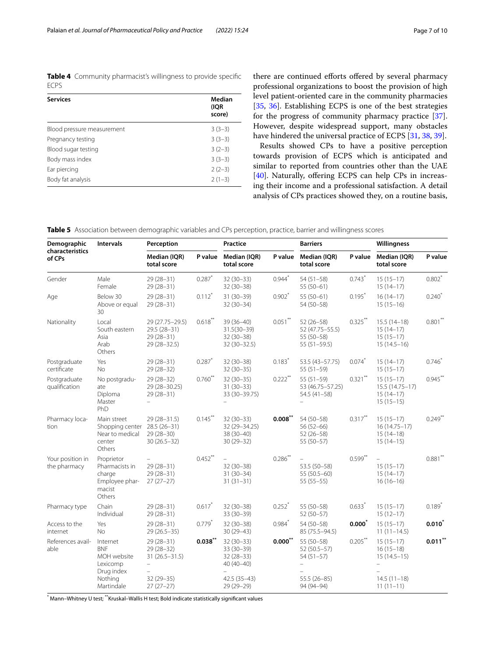<span id="page-6-0"></span>**Table 4** Community pharmacist's willingness to provide specifc ECPS

| <b>Services</b>            | Median<br>(IQR<br>score) |
|----------------------------|--------------------------|
| Blood pressure measurement | $3(3-3)$                 |
| Pregnancy testing          | $3(3-3)$                 |
| Blood sugar testing        | $3(2-3)$                 |
| Body mass index            | $3(3-3)$                 |
| Ear piercing               | $2(2-3)$                 |
| Body fat analysis          | $2(1-3)$                 |

there are continued efforts offered by several pharmacy professional organizations to boost the provision of high level patient-oriented care in the community pharmacies [[35,](#page-9-18) [36](#page-9-19)]. Establishing ECPS is one of the best strategies for the progress of community pharmacy practice [\[37](#page-9-20)]. However, despite widespread support, many obstacles have hindered the universal practice of ECPS [[31](#page-9-15), [38,](#page-9-21) [39](#page-9-22)].

Results showed CPs to have a positive perception towards provision of ECPS which is anticipated and similar to reported from countries other than the UAE [[40\]](#page-9-23). Naturally, offering ECPS can help CPs in increasing their income and a professional satisfaction. A detail analysis of CPs practices showed they, on a routine basis,

<span id="page-6-1"></span>**Table 5** Association between demographic variables and CPs perception, practice, barrier and willingness scores

| Demographic<br>characteristics<br>of CPs | <b>Intervals</b>                                                             | Perception                                                                          |            | Practice                                                                            |                      | <b>Barriers</b>                                                                |            | Willingness                                                              |            |
|------------------------------------------|------------------------------------------------------------------------------|-------------------------------------------------------------------------------------|------------|-------------------------------------------------------------------------------------|----------------------|--------------------------------------------------------------------------------|------------|--------------------------------------------------------------------------|------------|
|                                          |                                                                              | Median (IQR)<br>total score                                                         | P value    | Median (IQR)<br>total score                                                         | P value              | Median (IQR)<br>total score                                                    | P value    | Median (IQR)<br>total score                                              | P value    |
| Gender                                   | Male<br>Female                                                               | $29(28-31)$<br>$29(28-31)$                                                          | $0.287$ *  | $32(30-33)$<br>$32(30-38)$                                                          | $0.944$ <sup>*</sup> | $54(51 - 58)$<br>$55(50-61)$                                                   | $0.743*$   | $15(15-17)$<br>$15(14-17)$                                               | $0.802$ *  |
| Age                                      | Below 30<br>Above or equal<br>30                                             | 29 (28-31)<br>$29(28-31)$                                                           | $0.112$ *  | 31 (30-39)<br>$32(30-34)$                                                           | $0.902$ *            | $55(50-61)$<br>54 (50-58)                                                      | $0.195*$   | $16(14-17)$<br>$15(15-16)$                                               | $0.240*$   |
| Nationality                              | Local<br>South eastern<br>Asia<br>Arab<br>Others                             | 29 (27.75 - 29.5)<br>29.5 (28-31)<br>$29(28-31)$<br>29 (28-32.5)                    | $0.618***$ | 39 (36-40)<br>$31.5(30 - 39)$<br>$32(30-38)$<br>32 (30-32.5)                        | $0.051***$           | $52(26 - 58)$<br>52 (47.75 - 55.5)<br>55 (50-58)<br>$55(51-59.5)$              | $0.325***$ | $15.5(14-18)$<br>$15(14-17)$<br>$15(15-17)$<br>$15(14.5-16)$             | $0.801$ ** |
| Postgraduate<br>certificate              | Yes<br><b>No</b>                                                             | $29(28-31)$<br>$29(28-32)$                                                          | $0.287$ *  | $32(30-38)$<br>$32(30-35)$                                                          | $0.183*$             | 53.5 (43-57.75)<br>$55(51-59)$                                                 | $0.074*$   | $15(14-17)$<br>$15(15-17)$                                               | $0.746*$   |
| Postgraduate<br>qualification            | No postgradu-<br>ate<br>Diploma<br>Master<br>PhD                             | $29(28-32)$<br>29 (28-30.25)<br>$29(28-31)$<br>÷                                    | $0.760**$  | $32(30-35)$<br>$31(30-33)$<br>33 (30-39.75)<br>$\overline{\phantom{0}}$             | $0.222***$           | $55(51-59)$<br>53 (46.75 - 57.25)<br>$54.5(41-58)$                             | $0.321***$ | $15(15-17)$<br>$15.5(14.75 - 17)$<br>$15(14-17)$<br>$15(15-15)$          | $0.945***$ |
| Pharmacy loca-<br>tion                   | Main street<br>Shopping center<br>Near to medical<br>center<br>Others        | 29 (28-31.5)<br>$28.5(26-31)$<br>$29(28-30)$<br>$30(26.5-32)$                       | $0.145***$ | $32(30-33)$<br>32 (29 - 34.25)<br>38 (30-40)<br>$30(29 - 32)$                       | $0.008$ **           | 54 (50-58)<br>$56(52-66)$<br>$52(26 - 58)$<br>$55(50-57)$                      | $0.317***$ | $15(15-17)$<br>$16(14.75 - 17)$<br>$15(14-18)$<br>$15(14-15)$            | $0.249**$  |
| Your position in<br>the pharmacy         | Proprietor<br>Pharmacists in<br>charge<br>Employee phar-<br>macist<br>Others | $\frac{1}{2}$<br>$29(28-31)$<br>$29(28-31)$<br>$27(27-27)$                          | $0.452***$ | $\equiv$<br>$32(30-38)$<br>$31(30-34)$<br>$31(31-31)$                               | $0.286$ **           | 53.5 (50-58)<br>55 (50.5-60)<br>$55(55-55)$                                    | $0.599***$ | $15(15-17)$<br>$15(14-17)$<br>$16(16-16)$                                | $0.881$ ** |
| Pharmacy type                            | Chain<br>Individual                                                          | $29(28-31)$<br>$29(28-31)$                                                          | $0.617*$   | $32(30-38)$<br>$33(30-39)$                                                          | $0.252$ *            | 55 (50-58)<br>$52(50-57)$                                                      | $0.633*$   | $15(15-17)$<br>$15(12-17)$                                               | $0.189*$   |
| Access to the<br>internet                | Yes<br><b>No</b>                                                             | $29(28-31)$<br>$29(26.5-35)$                                                        | $0.779*$   | $32(30-38)$<br>$30(29 - 43)$                                                        | $0.984*$             | 54 (50-58)<br>85 (75.5 - 94.5)                                                 | $0.000*$   | $15(15-17)$<br>$11(11-14.5)$                                             | $0.010*$   |
| References avail-<br>able                | Internet<br><b>BNF</b><br>MOH website<br>Lexicomp<br>Drug index<br>Nothing   | $29(28 - 31)$<br>$29(28-32)$<br>$31(26.5 - 31.5)$<br>$\equiv$<br>÷<br>$32(29 - 35)$ | $0.038**$  | $32(30-33)$<br>33 (30-39)<br>$32(28-33)$<br>$40(40-40)$<br>$\equiv$<br>42.5 (35-43) | $0.000^{**}$         | 55 (50-58)<br>$52(50.5 - 57)$<br>$54(51-57)$<br>$\overline{a}$<br>55.5 (26-85) | $0.205***$ | $15(15-17)$<br>$16(15-18)$<br>$15(14.5-15)$<br>$\equiv$<br>$14.5(11-18)$ | $0.011$ ** |
|                                          | Martindale                                                                   | $27(27-27)$                                                                         |            | 29 (29-29)                                                                          |                      | 94 (94-94)                                                                     |            | $11(11-11)$                                                              |            |

\* Mann–Whitney U test; \*\*Kruskal–Wallis H test; Bold indicate statistically signifcant values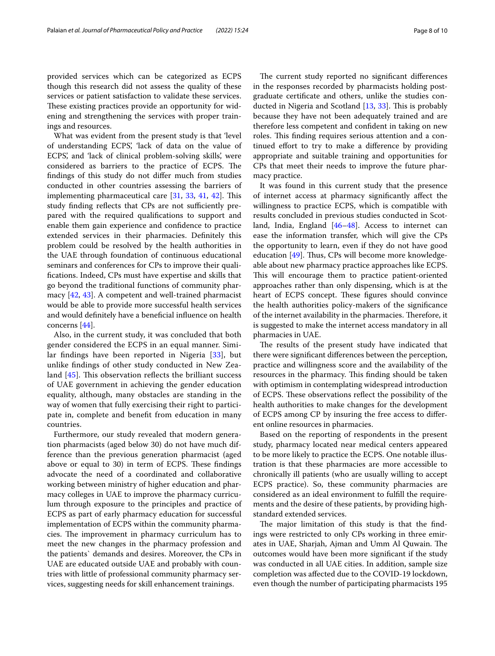provided services which can be categorized as ECPS though this research did not assess the quality of these services or patient satisfaction to validate these services. These existing practices provide an opportunity for widening and strengthening the services with proper trainings and resources.

What was evident from the present study is that 'level of understanding ECPS', 'lack of data on the value of ECPS', and 'lack of clinical problem-solving skills', were considered as barriers to the practice of ECPS. The fndings of this study do not difer much from studies conducted in other countries assessing the barriers of implementing pharmaceutical care  $[31, 33, 41, 42]$  $[31, 33, 41, 42]$  $[31, 33, 41, 42]$  $[31, 33, 41, 42]$  $[31, 33, 41, 42]$  $[31, 33, 41, 42]$  $[31, 33, 41, 42]$  $[31, 33, 41, 42]$  $[31, 33, 41, 42]$ . This study finding reflects that CPs are not sufficiently prepared with the required qualifcations to support and enable them gain experience and confdence to practice extended services in their pharmacies. Defnitely this problem could be resolved by the health authorities in the UAE through foundation of continuous educational seminars and conferences for CPs to improve their qualifcations. Indeed, CPs must have expertise and skills that go beyond the traditional functions of community pharmacy [[42](#page-9-25), [43](#page-9-26)]. A competent and well-trained pharmacist would be able to provide more successful health services and would defnitely have a benefcial infuence on health concerns [\[44\]](#page-9-27).

Also, in the current study, it was concluded that both gender considered the ECPS in an equal manner. Similar fndings have been reported in Nigeria [[33\]](#page-9-16), but unlike fndings of other study conducted in New Zealand  $[45]$  $[45]$ . This observation reflects the brilliant success of UAE government in achieving the gender education equality, although, many obstacles are standing in the way of women that fully exercising their right to participate in, complete and beneft from education in many countries.

Furthermore, our study revealed that modern generation pharmacists (aged below 30) do not have much difference than the previous generation pharmacist (aged above or equal to 30) in term of ECPS. These findings advocate the need of a coordinated and collaborative working between ministry of higher education and pharmacy colleges in UAE to improve the pharmacy curriculum through exposure to the principles and practice of ECPS as part of early pharmacy education for successful implementation of ECPS within the community pharmacies. The improvement in pharmacy curriculum has to meet the new changes in the pharmacy profession and the patients` demands and desires. Moreover, the CPs in UAE are educated outside UAE and probably with countries with little of professional community pharmacy services, suggesting needs for skill enhancement trainings.

The current study reported no significant differences in the responses recorded by pharmacists holding postgraduate certifcate and others, unlike the studies conducted in Nigeria and Scotland  $[13, 33]$  $[13, 33]$  $[13, 33]$  $[13, 33]$ . This is probably because they have not been adequately trained and are therefore less competent and confdent in taking on new roles. This finding requires serious attention and a continued efort to try to make a diference by providing appropriate and suitable training and opportunities for CPs that meet their needs to improve the future pharmacy practice.

It was found in this current study that the presence of internet access at pharmacy signifcantly afect the willingness to practice ECPS, which is compatible with results concluded in previous studies conducted in Scotland, India, England [[46–](#page-9-29)[48\]](#page-9-30). Access to internet can ease the information transfer, which will give the CPs the opportunity to learn, even if they do not have good education  $[49]$  $[49]$ . Thus, CPs will become more knowledgeable about new pharmacy practice approaches like ECPS. This will encourage them to practice patient-oriented approaches rather than only dispensing, which is at the heart of ECPS concept. These figures should convince the health authorities policy-makers of the signifcance of the internet availability in the pharmacies. Therefore, it is suggested to make the internet access mandatory in all pharmacies in UAE.

The results of the present study have indicated that there were signifcant diferences between the perception, practice and willingness score and the availability of the resources in the pharmacy. This finding should be taken with optimism in contemplating widespread introduction of ECPS. These observations reflect the possibility of the health authorities to make changes for the development of ECPS among CP by insuring the free access to diferent online resources in pharmacies.

Based on the reporting of respondents in the present study, pharmacy located near medical centers appeared to be more likely to practice the ECPS. One notable illustration is that these pharmacies are more accessible to chronically ill patients (who are usually willing to accept ECPS practice). So, these community pharmacies are considered as an ideal environment to fulfll the requirements and the desire of these patients, by providing highstandard extended services.

The major limitation of this study is that the findings were restricted to only CPs working in three emirates in UAE, Sharjah, Ajman and Umm Al Quwain. The outcomes would have been more signifcant if the study was conducted in all UAE cities. In addition, sample size completion was afected due to the COVID-19 lockdown, even though the number of participating pharmacists 195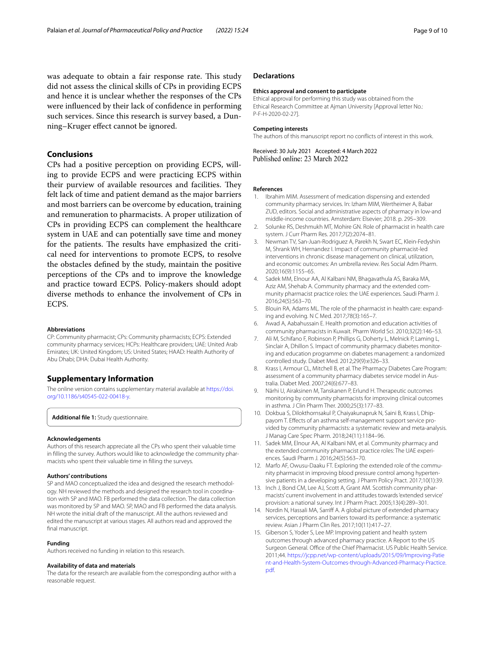was adequate to obtain a fair response rate. This study did not assess the clinical skills of CPs in providing ECPS and hence it is unclear whether the responses of the CPs were infuenced by their lack of confdence in performing such services. Since this research is survey based, a Dunning–Kruger efect cannot be ignored.

# **Conclusions**

CPs had a positive perception on providing ECPS, willing to provide ECPS and were practicing ECPS within their purview of available resources and facilities. They felt lack of time and patient demand as the major barriers and most barriers can be overcome by education, training and remuneration to pharmacists. A proper utilization of CPs in providing ECPS can complement the healthcare system in UAE and can potentially save time and money for the patients. The results have emphasized the critical need for interventions to promote ECPS, to resolve the obstacles defned by the study, maintain the positive perceptions of the CPs and to improve the knowledge and practice toward ECPS. Policy-makers should adopt diverse methods to enhance the involvement of CPs in ECPS.

#### **Abbreviations**

CP: Community pharmacist; CPs: Community pharmacists; ECPS: Extended community pharmacy services; HCPs: Healthcare providers; UAE: United Arab Emirates; UK: United Kingdom; US: United States; HAAD: Health Authority of Abu Dhabi; DHA: Dubai Health Authority.

## **Supplementary Information**

The online version contains supplementary material available at [https://doi.](https://doi.org/10.1186/s40545-022-00418-y) [org/10.1186/s40545-022-00418-y.](https://doi.org/10.1186/s40545-022-00418-y)

<span id="page-8-14"></span>**Additional fle 1:** Study questionnaire.

#### **Acknowledgements**

Authors of this research appreciate all the CPs who spent their valuable time in flling the survey. Authors would like to acknowledge the community pharmacists who spent their valuable time in flling the surveys.

#### **Authors' contributions**

SP and MAO conceptualized the idea and designed the research methodology. NH reviewed the methods and designed the research tool in coordination with SP and MAO. FB performed the data collection. The data collection was monitored by SP and MAO. SP, MAO and FB performed the data analysis. NH wrote the initial draft of the manuscript. All the authors reviewed and edited the manuscript at various stages. All authors read and approved the final manuscript.

#### **Funding**

Authors received no funding in relation to this research.

#### **Availability of data and materials**

The data for the research are available from the corresponding author with a reasonable request.

## **Declarations**

#### **Ethics approval and consent to participate**

Ethical approval for performing this study was obtained from the Ethical Research Committee at Ajman University [Approval letter No.: P-F-H-2020-02-27].

#### **Competing interests**

The authors of this manuscript report no conficts of interest in this work.

Received: 30 July 2021 Accepted: 4 March 2022 Published online: 23 March 2022

#### **References**

- <span id="page-8-0"></span>1. Ibrahim MIM. Assessment of medication dispensing and extended community pharmacy services. In: Izham MIM, Wertheimer A, Babar ZUD, editors. Social and administrative aspects of pharmacy in low-and middle-income countries. Amsterdam: Elsevier; 2018. p. 295–309.
- <span id="page-8-1"></span>2. Solunke RS, Deshmukh MT, Mohire GN. Role of pharmacist in health care system. J Curr Pharm Res. 2017;7(2):2074–81.
- <span id="page-8-2"></span>3. Newman TV, San-Juan-Rodriguez A, Parekh N, Swart EC, Klein-Fedyshin M, Shrank WH, Hernandez I. Impact of community pharmacist-led interventions in chronic disease management on clinical, utilization, and economic outcomes: An umbrella review. Res Social Adm Pharm. 2020;16(9):1155–65.
- <span id="page-8-3"></span>4. Sadek MM, Elnour AA, Al Kalbani NM, Bhagavathula AS, Baraka MA, Aziz AM, Shehab A. Community pharmacy and the extended community pharmacist practice roles: the UAE experiences. Saudi Pharm J. 2016;24(5):563–70.
- 5. Blouin RA, Adams ML. The role of the pharmacist in health care: expanding and evolving. N C Med. 2017;78(3):165–7.
- <span id="page-8-4"></span>6. Awad A, Aabahussain E. Health promotion and education activities of community pharmacists in Kuwait. Pharm World Sci. 2010;32(2):146–53.
- <span id="page-8-5"></span>7. Ali M, Schifano F, Robinson P, Phillips G, Doherty L, Melnick P, Laming L, Sinclair A, Dhillon S. Impact of community pharmacy diabetes monitoring and education programme on diabetes management: a randomized controlled study. Diabet Med. 2012;29(9):e326–33.
- <span id="page-8-6"></span>8. Krass I, Armour CL, Mitchell B, et al. The Pharmacy Diabetes Care Program: assessment of a community pharmacy diabetes service model in Australia. Diabet Med. 2007;24(6):677–83.
- <span id="page-8-7"></span>9. Närhi U, Airaksinen M, Tanskanen P, Erlund H. Therapeutic outcomes monitoring by community pharmacists for improving clinical outcomes in asthma. J Clin Pharm Ther. 2000;25(3):177–83.
- <span id="page-8-8"></span>10. Dokbua S, Dilokthornsakul P, Chaiyakunapruk N, Saini B, Krass I, Dhippayom T. Efects of an asthma self-management support service provided by community pharmacists: a systematic review and meta-analysis. J Manag Care Spec Pharm. 2018;24(11):1184–96.
- <span id="page-8-9"></span>11. Sadek MM, Elnour AA, Al Kalbani NM, et al. Community pharmacy and the extended community pharmacist practice roles: The UAE experiences. Saudi Pharm J. 2016;24(5):563–70.
- <span id="page-8-10"></span>12. Marfo AF, Owusu-Daaku FT. Exploring the extended role of the community pharmacist in improving blood pressure control among hypertensive patients in a developing setting. J Pharm Policy Pract. 2017;10(1):39.
- <span id="page-8-11"></span>13. Inch J, Bond CM, Lee AJ, Scott A, Grant AM. Scottish community pharmacists' current involvement in and attitudes towards 'extended service' provision: a national survey. Int J Pharm Pract. 2005;13(4):289–301.
- <span id="page-8-12"></span>14. Nordin N, Hassali MA, Sarrif A. A global picture of extended pharmacy services, perceptions and barriers toward its performance: a systematic review. Asian J Pharm Clin Res. 2017;10(11):417–27.
- <span id="page-8-13"></span>15. Giberson S, Yoder S, Lee MP. Improving patient and health system outcomes through advanced pharmacy practice. A Report to the US Surgeon General. Office of the Chief Pharmacist. US Public Health Service. 2011;44. [https://jcpp.net/wp-content/uploads/2015/09/Improving-Patie](https://jcpp.net/wp-content/uploads/2015/09/Improving-Patient-and-Health-System-Outcomes-through-Advanced-Pharmacy-Practice.pdf) [nt-and-Health-System-Outcomes-through-Advanced-Pharmacy-Practice.](https://jcpp.net/wp-content/uploads/2015/09/Improving-Patient-and-Health-System-Outcomes-through-Advanced-Pharmacy-Practice.pdf) [pdf.](https://jcpp.net/wp-content/uploads/2015/09/Improving-Patient-and-Health-System-Outcomes-through-Advanced-Pharmacy-Practice.pdf)